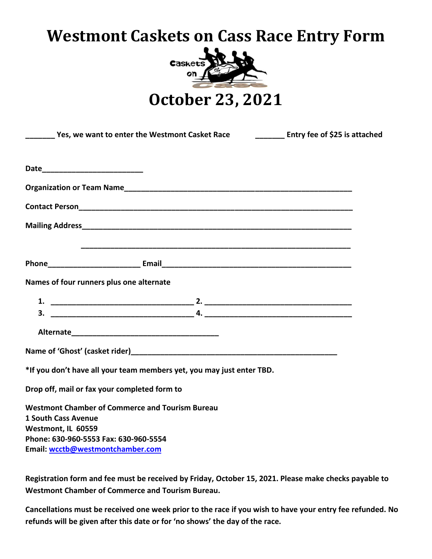### **Westmont Caskets on Cass Race Entry Form**



**\_\_\_\_\_\_\_ Yes, we want to enter the Westmont Casket Race \_\_\_\_\_\_\_ Entry fee of \$25 is attached Date\_\_\_\_\_\_\_\_\_\_\_\_\_\_\_\_\_\_\_\_\_\_\_\_ Organization or Team Name\_\_\_\_\_\_\_\_\_\_\_\_\_\_\_\_\_\_\_\_\_\_\_\_\_\_\_\_\_\_\_\_\_\_\_\_\_\_\_\_\_\_\_\_\_\_\_\_\_\_\_\_\_\_ Contact Person Mailing Address\_\_\_\_\_\_\_\_\_\_\_\_\_\_\_\_\_\_\_\_\_\_\_\_\_\_\_\_\_\_\_\_\_\_\_\_\_\_\_\_\_\_\_\_\_\_\_\_\_\_\_\_\_\_\_\_\_\_\_\_\_\_\_\_ \_\_\_\_\_\_\_\_\_\_\_\_\_\_\_\_\_\_\_\_\_\_\_\_\_\_\_\_\_\_\_\_\_\_\_\_\_\_\_\_\_\_\_\_\_\_\_\_\_\_\_\_\_\_\_\_\_\_\_\_\_\_\_\_ Phone\_\_\_\_\_\_\_\_\_\_\_\_\_\_\_\_\_\_\_\_\_\_ Email\_\_\_\_\_\_\_\_\_\_\_\_\_\_\_\_\_\_\_\_\_\_\_\_\_\_\_\_\_\_\_\_\_\_\_\_\_\_\_\_\_\_\_\_\_ Names of four runners plus one alternate 1. \_\_\_\_\_\_\_\_\_\_\_\_\_\_\_\_\_\_\_\_\_\_\_\_\_\_\_\_\_\_\_\_\_\_ 2. \_\_\_\_\_\_\_\_\_\_\_\_\_\_\_\_\_\_\_\_\_\_\_\_\_\_\_\_\_\_\_\_\_\_\_ 3. \_\_\_\_\_\_\_\_\_\_\_\_\_\_\_\_\_\_\_\_\_\_\_\_\_\_\_\_\_\_\_\_\_\_ 4. \_\_\_\_\_\_\_\_\_\_\_\_\_\_\_\_\_\_\_\_\_\_\_\_\_\_\_\_\_\_\_\_\_\_\_ Alternate\_\_\_\_\_\_\_\_\_\_\_\_\_\_\_\_\_\_\_\_\_\_\_\_\_\_\_\_\_\_\_\_\_\_\_** Name of 'Ghost' (casket rider) **\*If you don't have all your team members yet, you may just enter TBD.** 

**Drop off, mail or fax your completed form to** 

**Westmont Chamber of Commerce and Tourism Bureau 1 South Cass Avenue Westmont, IL 60559 Phone: 630-960-5553 Fax: 630-960-5554 Email: [wcctb@westmontchamber.com](mailto:wcctb@westmontchamber.com)**

**Registration form and fee must be received by Friday, October 15, 2021. Please make checks payable to Westmont Chamber of Commerce and Tourism Bureau.** 

**Cancellations must be received one week prior to the race if you wish to have your entry fee refunded. No refunds will be given after this date or for 'no shows' the day of the race.**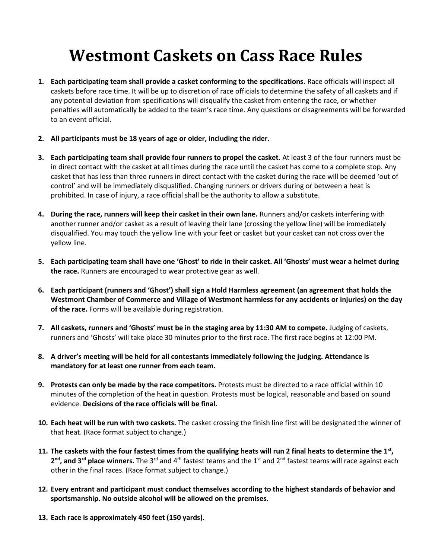# **Westmont Caskets on Cass Race Rules**

- **1. Each participating team shall provide a casket conforming to the specifications.** Race officials will inspect all caskets before race time. It will be up to discretion of race officials to determine the safety of all caskets and if any potential deviation from specifications will disqualify the casket from entering the race, or whether penalties will automatically be added to the team's race time. Any questions or disagreements will be forwarded to an event official.
- **2. All participants must be 18 years of age or older, including the rider.**
- **3. Each participating team shall provide four runners to propel the casket.** At least 3 of the four runners must be in direct contact with the casket at all times during the race until the casket has come to a complete stop. Any casket that has less than three runners in direct contact with the casket during the race will be deemed 'out of control' and will be immediately disqualified. Changing runners or drivers during or between a heat is prohibited. In case of injury, a race official shall be the authority to allow a substitute.
- **4. During the race, runners will keep their casket in their own lane.** Runners and/or caskets interfering with another runner and/or casket as a result of leaving their lane (crossing the yellow line) will be immediately disqualified. You may touch the yellow line with your feet or casket but your casket can not cross over the yellow line.
- **5. Each participating team shall have one 'Ghost' to ride in their casket. All 'Ghosts' must wear a helmet during the race.** Runners are encouraged to wear protective gear as well.
- **6. Each participant (runners and 'Ghost') shall sign a Hold Harmless agreement (an agreement that holds the Westmont Chamber of Commerce and Village of Westmont harmless for any accidents or injuries) on the day of the race.** Forms will be available during registration.
- **7. All caskets, runners and 'Ghosts' must be in the staging area by 11:30 AM to compete.** Judging of caskets, runners and 'Ghosts' will take place 30 minutes prior to the first race. The first race begins at 12:00 PM.
- **8. A driver's meeting will be held for all contestants immediately following the judging. Attendance is mandatory for at least one runner from each team.**
- **9. Protests can only be made by the race competitors.** Protests must be directed to a race official within 10 minutes of the completion of the heat in question. Protests must be logical, reasonable and based on sound evidence. **Decisions of the race officials will be final.**
- **10. Each heat will be run with two caskets.** The casket crossing the finish line first will be designated the winner of that heat. (Race format subject to change.)
- **11. The caskets with the four fastest times from the qualifying heats will run 2 final heats to determine the 1st ,**  2<sup>nd</sup>, and 3<sup>rd</sup> place winners. The 3<sup>rd</sup> and 4<sup>th</sup> fastest teams and the 1<sup>st</sup> and 2<sup>nd</sup> fastest teams will race against each other in the final races. (Race format subject to change.)
- **12. Every entrant and participant must conduct themselves according to the highest standards of behavior and sportsmanship. No outside alcohol will be allowed on the premises.**
- **13. Each race is approximately 450 feet (150 yards).**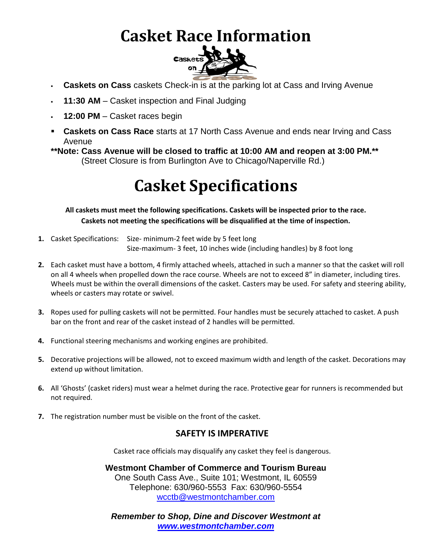### **Casket Race Information**



- **Caskets on Cass** caskets Check-in is at the parking lot at Cass and Irving Avenue
- **11:30 AM** Casket inspection and Final Judging
- **12:00 PM** Casket races begin
- **Caskets on Cass Race** starts at 17 North Cass Avenue and ends near Irving and Cass Avenue
- **\*\*Note: Cass Avenue will be closed to traffic at 10:00 AM and reopen at 3:00 PM.\*\*** (Street Closure is from Burlington Ave to Chicago/Naperville Rd.)

# **Casket Specifications**

**All caskets must meet the following specifications. Caskets will be inspected prior to the race. Caskets not meeting the specifications will be disqualified at the time of inspection.** 

- **1.** Casket Specifications: Size- minimum-2 feet wide by 5 feet long Size-maximum- 3 feet, 10 inches wide (including handles) by 8 foot long
- **2.** Each casket must have a bottom, 4 firmly attached wheels, attached in such a manner so that the casket will roll on all 4 wheels when propelled down the race course. Wheels are not to exceed 8" in diameter, including tires. Wheels must be within the overall dimensions of the casket. Casters may be used. For safety and steering ability, wheels or casters may rotate or swivel.
- **3.** Ropes used for pulling caskets will not be permitted. Four handles must be securely attached to casket. A push bar on the front and rear of the casket instead of 2 handles will be permitted.
- **4.** Functional steering mechanisms and working engines are prohibited.
- **5.** Decorative projections will be allowed, not to exceed maximum width and length of the casket. Decorations may extend up without limitation.
- **6.** All 'Ghosts' (casket riders) must wear a helmet during the race. Protective gear for runners is recommended but not required.
- **7.** The registration number must be visible on the front of the casket.

#### **SAFETY IS IMPERATIVE**

Casket race officials may disqualify any casket they feel is dangerous.

**Westmont Chamber of Commerce and Tourism Bureau** One South Cass Ave., Suite 101; Westmont, IL 60559 Telephone: 630/960-5553 Fax: 630/960-5554 [wcctb@westmontchamber.com](mailto:wcctb@westmontchamber.com)

*Remember to Shop, Dine and Discover Westmont at [www.westmontchamber.com](http://www.westmontchamber.com/)*